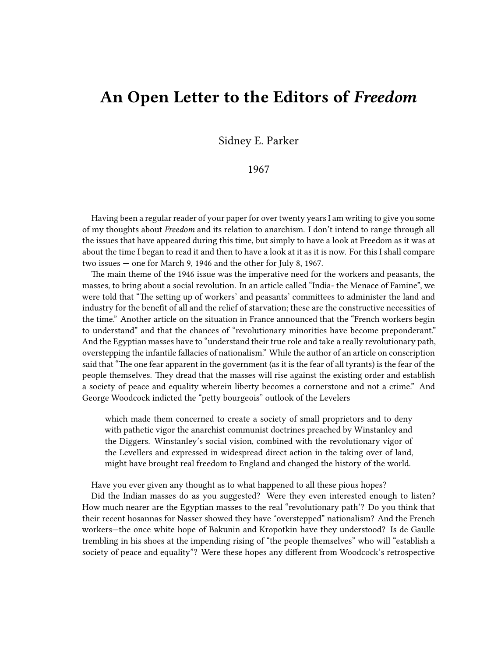## **An Open Letter to the Editors of** *Freedom*

Sidney E. Parker

## 1967

Having been a regular reader of your paper for over twenty years I am writing to give you some of my thoughts about *Freedom* and its relation to anarchism. I don't intend to range through all the issues that have appeared during this time, but simply to have a look at Freedom as it was at about the time I began to read it and then to have a look at it as it is now. For this I shall compare two issues — one for March 9, 1946 and the other for July 8, 1967.

The main theme of the 1946 issue was the imperative need for the workers and peasants, the masses, to bring about a social revolution. In an article called "India- the Menace of Famine", we were told that "The setting up of workers' and peasants' committees to administer the land and industry for the benefit of all and the relief of starvation; these are the constructive necessities of the time." Another article on the situation in France announced that the "French workers begin to understand" and that the chances of "revolutionary minorities have become preponderant." And the Egyptian masses have to "understand their true role and take a really revolutionary path, overstepping the infantile fallacies of nationalism." While the author of an article on conscription said that "The one fear apparent in the government (as it is the fear of all tyrants) is the fear of the people themselves. They dread that the masses will rise against the existing order and establish a society of peace and equality wherein liberty becomes a cornerstone and not a crime." And George Woodcock indicted the "petty bourgeois" outlook of the Levelers

which made them concerned to create a society of small proprietors and to deny with pathetic vigor the anarchist communist doctrines preached by Winstanley and the Diggers. Winstanley's social vision, combined with the revolutionary vigor of the Levellers and expressed in widespread direct action in the taking over of land, might have brought real freedom to England and changed the history of the world.

Have you ever given any thought as to what happened to all these pious hopes?

Did the Indian masses do as you suggested? Were they even interested enough to listen? How much nearer are the Egyptian masses to the real "revolutionary path'? Do you think that their recent hosannas for Nasser showed they have "overstepped" nationalism? And the French workers—the once white hope of Bakunin and Kropotkin have they understood? Is de Gaulle trembling in his shoes at the impending rising of "the people themselves" who will "establish a society of peace and equality"? Were these hopes any different from Woodcock's retrospective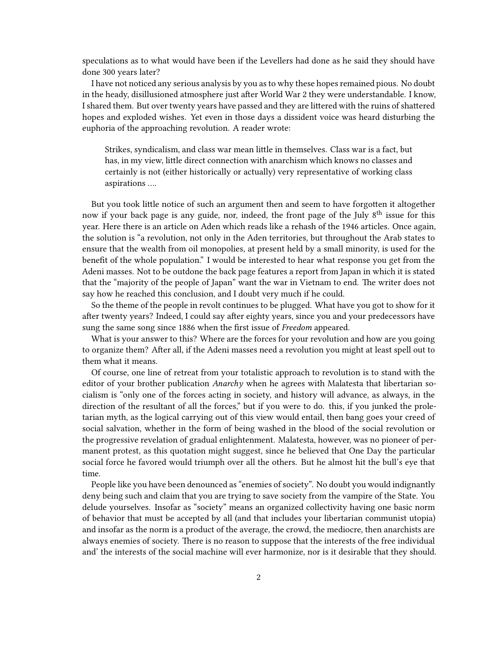speculations as to what would have been if the Levellers had done as he said they should have done 300 years later?

I have not noticed any serious analysis by you as to why these hopes remained pious. No doubt in the heady, disillusioned atmosphere just after World War 2 they were understandable. I know, I shared them. But over twenty years have passed and they are littered with the ruins of shattered hopes and exploded wishes. Yet even in those days a dissident voice was heard disturbing the euphoria of the approaching revolution. A reader wrote:

Strikes, syndicalism, and class war mean little in themselves. Class war is a fact, but has, in my view, little direct connection with anarchism which knows no classes and certainly is not (either historically or actually) very representative of working class aspirations ….

But you took little notice of such an argument then and seem to have forgotten it altogether now if your back page is any guide, nor, indeed, the front page of the July 8<sup>th</sup> issue for this year. Here there is an article on Aden which reads like a rehash of the 1946 articles. Once again, the solution is "a revolution, not only in the Aden territories, but throughout the Arab states to ensure that the wealth from oil monopolies, at present held by a small minority, is used for the benefit of the whole population." I would be interested to hear what response you get from the Adeni masses. Not to be outdone the back page features a report from Japan in which it is stated that the "majority of the people of Japan" want the war in Vietnam to end. The writer does not say how he reached this conclusion, and I doubt very much if he could.

So the theme of the people in revolt continues to be plugged. What have you got to show for it after twenty years? Indeed, I could say after eighty years, since you and your predecessors have sung the same song since 1886 when the first issue of *Freedom* appeared.

What is your answer to this? Where are the forces for your revolution and how are you going to organize them? After all, if the Adeni masses need a revolution you might at least spell out to them what it means.

Of course, one line of retreat from your totalistic approach to revolution is to stand with the editor of your brother publication *Anarchy* when he agrees with Malatesta that libertarian socialism is "only one of the forces acting in society, and history will advance, as always, in the direction of the resultant of all the forces," but if you were to do. this, if you junked the proletarian myth, as the logical carrying out of this view would entail, then bang goes your creed of social salvation, whether in the form of being washed in the blood of the social revolution or the progressive revelation of gradual enlightenment. Malatesta, however, was no pioneer of permanent protest, as this quotation might suggest, since he believed that One Day the particular social force he favored would triumph over all the others. But he almost hit the bull's eye that time.

People like you have been denounced as "enemies of society". No doubt you would indignantly deny being such and claim that you are trying to save society from the vampire of the State. You delude yourselves. Insofar as "society" means an organized collectivity having one basic norm of behavior that must be accepted by all (and that includes your libertarian communist utopia) and insofar as the norm is a product of the average, the crowd, the mediocre, then anarchists are always enemies of society. There is no reason to suppose that the interests of the free individual and' the interests of the social machine will ever harmonize, nor is it desirable that they should.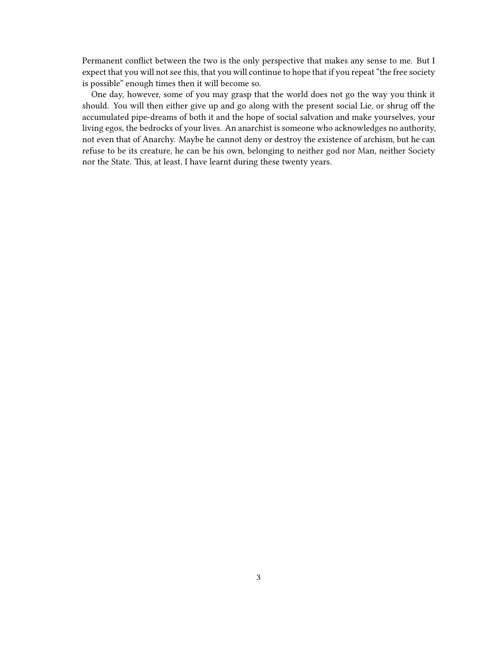Permanent conflict between the two is the only perspective that makes any sense to me. But I expect that you will not see this, that you will continue to hope that if you repeat "the free society is possible" enough times then it will become so.

One day, however, some of you may grasp that the world does not go the way you think it should. You will then either give up and go along with the present social Lie, or shrug off the accumulated pipe-dreams of both it and the hope of social salvation and make yourselves, your living egos, the bedrocks of your lives. An anarchist is someone who acknowledges no authority, not even that of Anarchy. Maybe he cannot deny or destroy the existence of archism, but he can refuse to be its creature, he can be his own, belonging to neither god nor Man, neither Society nor the State. This, at least, I have learnt during these twenty years.